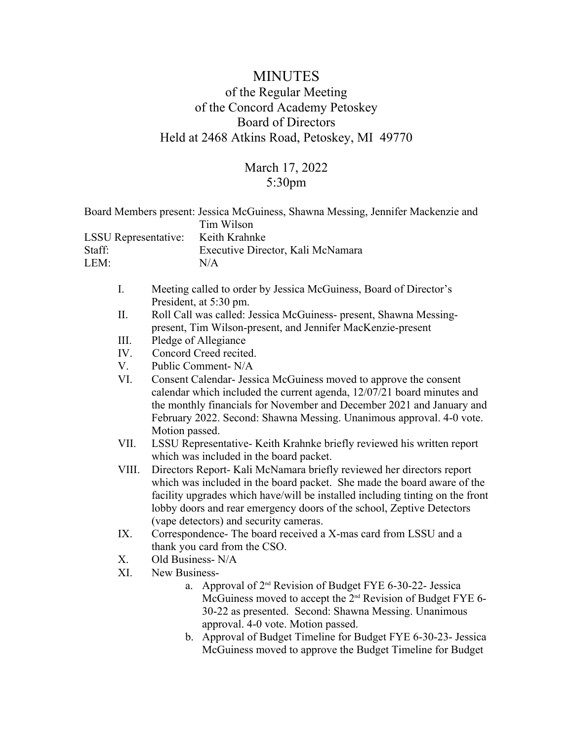## MINUTES of the Regular Meeting of the Concord Academy Petoskey Board of Directors Held at 2468 Atkins Road, Petoskey, MI 49770

## March 17, 2022 5:30pm

| <b>LSSU</b> Representative: |                        |                  | Board Members present: Jessica McGuiness, Shawna Messing, Jennifer Mackenzie and<br>Tim Wilson                                                                                                                                                                       |  |
|-----------------------------|------------------------|------------------|----------------------------------------------------------------------------------------------------------------------------------------------------------------------------------------------------------------------------------------------------------------------|--|
|                             |                        |                  | Keith Krahnke                                                                                                                                                                                                                                                        |  |
| Staff:                      |                        |                  | Executive Director, Kali McNamara                                                                                                                                                                                                                                    |  |
| LEM:                        |                        |                  | N/A                                                                                                                                                                                                                                                                  |  |
|                             |                        |                  |                                                                                                                                                                                                                                                                      |  |
|                             | $I_{\cdot}$            |                  | Meeting called to order by Jessica McGuiness, Board of Director's                                                                                                                                                                                                    |  |
|                             |                        |                  | President, at 5:30 pm.                                                                                                                                                                                                                                               |  |
|                             | П.                     |                  | Roll Call was called: Jessica McGuiness- present, Shawna Messing-                                                                                                                                                                                                    |  |
|                             |                        |                  | present, Tim Wilson-present, and Jennifer MacKenzie-present                                                                                                                                                                                                          |  |
|                             | III.                   |                  | Pledge of Allegiance                                                                                                                                                                                                                                                 |  |
| IV.                         |                        |                  | Concord Creed recited.                                                                                                                                                                                                                                               |  |
|                             | V.                     |                  | Public Comment-N/A                                                                                                                                                                                                                                                   |  |
|                             | VI.                    |                  | Consent Calendar- Jessica McGuiness moved to approve the consent                                                                                                                                                                                                     |  |
|                             |                        |                  | calendar which included the current agenda, 12/07/21 board minutes and                                                                                                                                                                                               |  |
|                             |                        |                  | the monthly financials for November and December 2021 and January and                                                                                                                                                                                                |  |
|                             |                        |                  | February 2022. Second: Shawna Messing. Unanimous approval. 4-0 vote.                                                                                                                                                                                                 |  |
|                             | Motion passed.<br>VII. |                  |                                                                                                                                                                                                                                                                      |  |
|                             |                        |                  | LSSU Representative-Keith Krahnke briefly reviewed his written report<br>which was included in the board packet.<br>Directors Report- Kali McNamara briefly reviewed her directors report<br>which was included in the board packet. She made the board aware of the |  |
|                             |                        |                  |                                                                                                                                                                                                                                                                      |  |
|                             | VIII.                  |                  |                                                                                                                                                                                                                                                                      |  |
|                             |                        |                  |                                                                                                                                                                                                                                                                      |  |
|                             |                        |                  | facility upgrades which have/will be installed including tinting on the front                                                                                                                                                                                        |  |
|                             |                        |                  | lobby doors and rear emergency doors of the school, Zeptive Detectors                                                                                                                                                                                                |  |
|                             |                        |                  | (vape detectors) and security cameras.                                                                                                                                                                                                                               |  |
| IX.                         |                        |                  | Correspondence- The board received a X-mas card from LSSU and a                                                                                                                                                                                                      |  |
| X.<br>XI.                   |                        |                  | thank you card from the CSO.                                                                                                                                                                                                                                         |  |
|                             |                        | Old Business-N/A |                                                                                                                                                                                                                                                                      |  |
|                             |                        | New Business-    |                                                                                                                                                                                                                                                                      |  |
|                             |                        | a.               | Approval of 2 <sup>nd</sup> Revision of Budget FYE 6-30-22- Jessica                                                                                                                                                                                                  |  |
|                             |                        |                  | McGuiness moved to accept the 2 <sup>nd</sup> Revision of Budget FYE 6-                                                                                                                                                                                              |  |
|                             |                        |                  | 30-22 as presented. Second: Shawna Messing. Unanimous                                                                                                                                                                                                                |  |
|                             |                        |                  | approval. 4-0 vote. Motion passed.                                                                                                                                                                                                                                   |  |
|                             |                        |                  | b. Approval of Budget Timeline for Budget FYE 6-30-23- Jessica                                                                                                                                                                                                       |  |
|                             |                        |                  | McGuiness moved to approve the Budget Timeline for Budget                                                                                                                                                                                                            |  |
|                             |                        |                  |                                                                                                                                                                                                                                                                      |  |